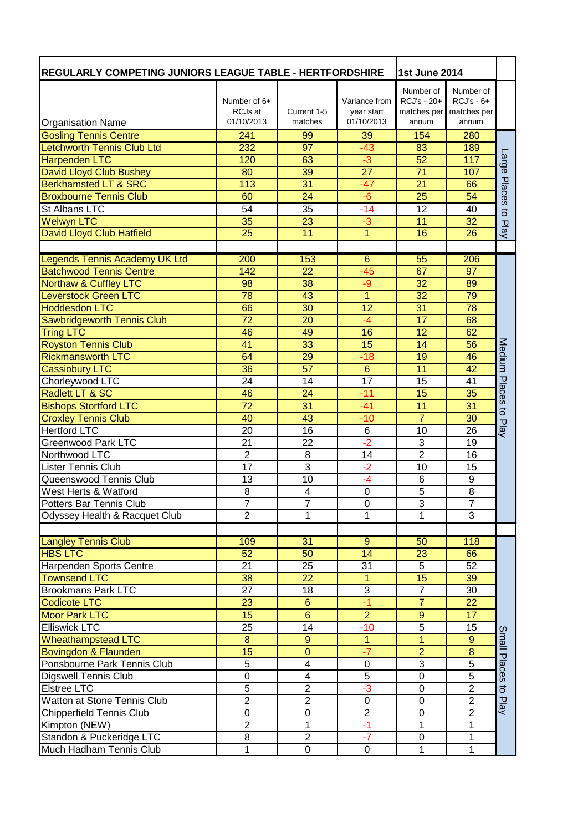| <b>REGULARLY COMPETING JUNIORS LEAGUE TABLE - HERTFORDSHIRE</b> |                  |                         | <b>1st June 2014</b> |                  |                 |                     |
|-----------------------------------------------------------------|------------------|-------------------------|----------------------|------------------|-----------------|---------------------|
|                                                                 |                  |                         |                      | Number of        | Number of       |                     |
|                                                                 | Number of $6+$   |                         | Variance from        | RCJ's - 20+      | $RCJ's - 6+$    |                     |
|                                                                 | RCJs at          | Current 1-5             | year start           | matches per      | matches per     |                     |
| <b>Organisation Name</b>                                        | 01/10/2013       | matches                 | 01/10/2013           | annum            | annum           |                     |
| <b>Gosling Tennis Centre</b>                                    | 241              | 99                      | 39                   | 154              | 280             |                     |
| <b>Letchworth Tennis Club Ltd</b>                               | 232              | 97                      | $-43$                | 83               | 189             |                     |
| <b>Harpenden LTC</b>                                            | 120              | 63                      | -3                   | 52               | 117             | ange                |
| <b>David Lloyd Club Bushey</b>                                  | 80               | 39                      | $\overline{27}$      | $\overline{71}$  | 107             |                     |
| <b>Berkhamsted LT &amp; SRC</b>                                 | 113              | 31                      | $-47$                | $\overline{21}$  | 66              | Places              |
| <b>Broxbourne Tennis Club</b>                                   | 60               | 24                      | $-6$                 | 25               | 54              |                     |
| St Albans LTC                                                   | 54               | 35                      | $-14$                | 12               | 40              | $\overline{5}$      |
| Welwyn LTC                                                      | 35               | 23                      | -3                   | 11               | 32              | Play                |
| David Lloyd Club Hatfield                                       | 25               | 11                      | 1                    | 16               | 26              |                     |
|                                                                 |                  |                         |                      |                  |                 |                     |
| Legends Tennis Academy UK Ltd                                   | 200              | 153                     | 6                    | $\overline{55}$  | 206             |                     |
| <b>Batchwood Tennis Centre</b>                                  | 142              | 22                      | $-45$                | 67               | 97              |                     |
| <b>Northaw &amp; Cuffley LTC</b>                                | 98               | 38                      | -9                   | 32               | 89              |                     |
| <b>Leverstock Green LTC</b>                                     | 78               | 43                      | $\overline{1}$       | 32               | 79              |                     |
| <b>Hoddesdon LTC</b>                                            | 66               | 30                      | 12                   | 31               | $\overline{78}$ |                     |
| <b>Sawbridgeworth Tennis Club</b>                               | 72               | 20                      | -4                   | 17               | 68              |                     |
| <b>Tring LTC</b>                                                | 46               | 49                      | 16                   | 12               | 62              |                     |
| <b>Royston Tennis Club</b>                                      | 41               | 33                      | 15                   | 14               | 56              |                     |
| <b>Rickmansworth LTC</b>                                        | 64               | 29                      | $-18$                | 19               | 46              | Medium              |
| <b>Cassiobury LTC</b>                                           | 36               | 57                      | $6\phantom{1}$       | 11               | 42              |                     |
| Chorleywood LTC                                                 | 24               | 14                      | 17                   | 15               | 41              | <b>Places</b>       |
| Radlett LT & SC                                                 | 46               | 24                      | $-11$                | 15               | 35              |                     |
| <b>Bishops Stortford LTC</b>                                    | 72               | 31                      | $-41$                | 11               | 31              | $\overline{5}$      |
| <b>Croxley Tennis Club</b>                                      | 40               | 43                      | $-10$                | $\overline{7}$   | 30              | Play                |
| <b>Hertford LTC</b>                                             | 20               | 16                      | $6\phantom{1}6$      | 10               | 26              |                     |
| Greenwood Park LTC                                              | 21               | $\overline{22}$         | $-2$                 | 3                | 19              |                     |
| Northwood LTC                                                   | $\overline{2}$   | $\overline{8}$          | $\overline{14}$      | $\overline{2}$   | 16              |                     |
| <b>Lister Tennis Club</b>                                       | 17               | 3                       | $-2$                 | 10               | 15              |                     |
| Queenswood Tennis Club                                          | 13               | 10                      | $-4$                 | 6                | 9               |                     |
| West Herts & Watford                                            | $\overline{8}$   | $\overline{4}$          | 0                    | $\overline{5}$   | $\overline{8}$  |                     |
| Potters Bar Tennis Club                                         | T                | ſ                       | 0                    | 3                | <sup>'</sup>    |                     |
| Odyssey Health & Racquet Club                                   | $\overline{2}$   | 1                       | 1                    | 1                | 3               |                     |
|                                                                 |                  |                         |                      |                  |                 |                     |
| <b>Langley Tennis Club</b>                                      | 109              | 31                      | $\overline{9}$       | 50               | 118             |                     |
| <b>HBS LTC</b>                                                  | 52               | 50                      | 14                   | 23               | 66              |                     |
| Harpenden Sports Centre                                         | 21               | 25                      | 31                   | $\overline{5}$   | 52              |                     |
| <b>Townsend LTC</b>                                             | 38               | 22                      | 1                    | 15               | 39              |                     |
| <b>Brookmans Park LTC</b>                                       | 27               | 18                      | $\overline{3}$       | $\overline{7}$   | 30              |                     |
| <b>Codicote LTC</b>                                             | 23               | $\boldsymbol{6}$        | -1                   | $\overline{7}$   | 22              |                     |
| <b>Moor Park LTC</b>                                            | 15               | $\overline{6}$          | $\overline{2}$       | $\overline{9}$   | 17              |                     |
| <b>Elliswick LTC</b>                                            | 25               | 14                      | $-10$                | $\overline{5}$   | 15              | Small               |
| <b>Wheathampstead LTC</b>                                       | 8                | $\overline{9}$          | $\overline{1}$       | $\overline{1}$   | $\overline{9}$  |                     |
| Bovingdon & Flaunden                                            | 15               | $\overline{0}$          | $-7$                 | $\overline{2}$   | $\bf 8$         |                     |
| Ponsbourne Park Tennis Club                                     | 5                | $\overline{\mathbf{4}}$ | 0                    | 3                | $\overline{5}$  | Places              |
| <b>Digswell Tennis Club</b>                                     | $\boldsymbol{0}$ | $\overline{\mathbf{4}}$ | $\overline{5}$       | $\boldsymbol{0}$ | $\overline{5}$  |                     |
| Elstree LTC                                                     | $\overline{5}$   | $\overline{2}$          | $-3$                 | $\pmb{0}$        | $\overline{2}$  | $\overline{\sigma}$ |
| Watton at Stone Tennis Club                                     | $\overline{2}$   | $\boldsymbol{2}$        | $\boldsymbol{0}$     | $\mathsf 0$      | $\overline{c}$  | Play                |
| <b>Chipperfield Tennis Club</b>                                 | $\mathbf 0$      | $\mathbf 0$             | $\overline{2}$       | $\mathsf 0$      | $\overline{2}$  |                     |
| Kimpton (NEW)                                                   | $\overline{2}$   | 1                       | $-1$                 | $\mathbf{1}$     | 1               |                     |
| Standon & Puckeridge LTC                                        | 8                | $\overline{2}$          | $-7$                 | $\pmb{0}$        | $\mathbf{1}$    |                     |
| Much Hadham Tennis Club                                         | $\mathbf{1}$     | $\overline{0}$          | $\overline{0}$       | 1                | 1               |                     |